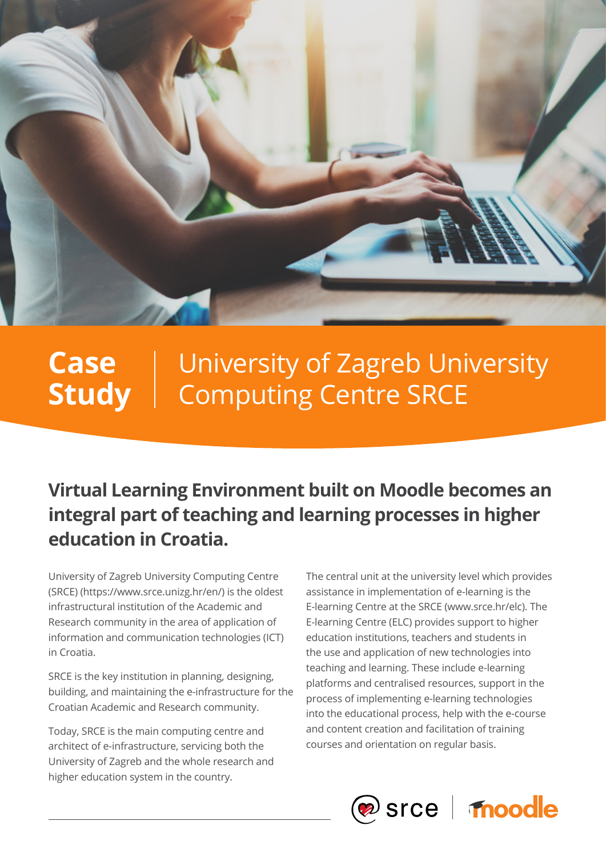

### University of Zagreb University Computing Centre SRCE **Case Study**

**Virtual Learning Environment built on Moodle becomes an integral part of teaching and learning processes in higher education in Croatia.**

University of Zagreb University Computing Centre (SRCE) (https://www.srce.unizg.hr/en/) is the oldest infrastructural institution of the Academic and Research community in the area of application of information and communication technologies (ICT) in Croatia.

SRCE is the key institution in planning, designing, building, and maintaining the e-infrastructure for the Croatian Academic and Research community.

Today, SRCE is the main computing centre and architect of e-infrastructure, servicing both the University of Zagreb and the whole research and higher education system in the country.

The central unit at the university level which provides assistance in implementation of e-learning is the E-learning Centre at the SRCE (www.srce.hr/elc). The E-learning Centre (ELC) provides support to higher education institutions, teachers and students in the use and application of new technologies into teaching and learning. These include e-learning platforms and centralised resources, support in the process of implementing e-learning technologies into the educational process, help with the e-course and content creation and facilitation of training courses and orientation on regular basis.

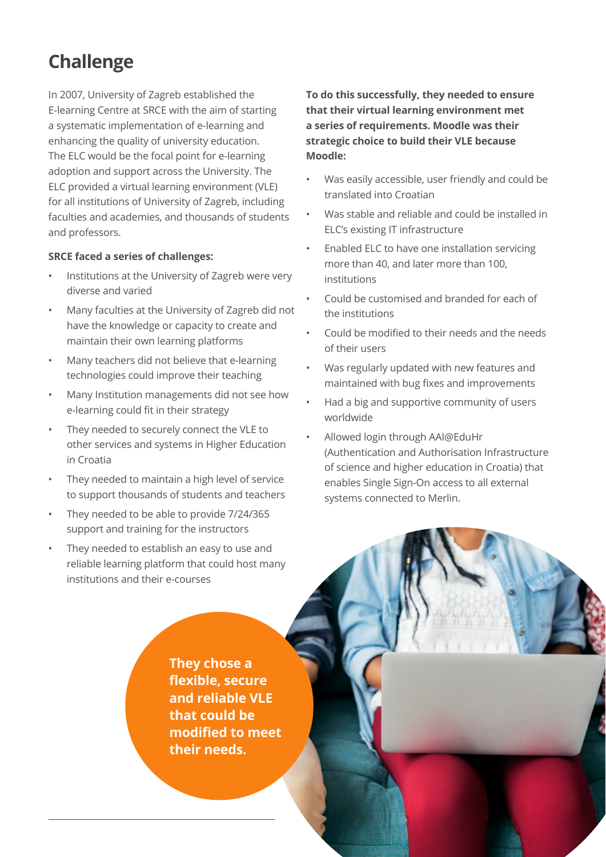# **Challenge**

In 2007, University of Zagreb established the E-learning Centre at SRCE with the aim of starting a systematic implementation of e-learning and enhancing the quality of university education. The ELC would be the focal point for e-learning adoption and support across the University. The ELC provided a virtual learning environment (VLE) for all institutions of University of Zagreb, including faculties and academies, and thousands of students and professors.

### **SRCE faced a series of challenges:**

- Institutions at the University of Zagreb were very diverse and varied
- Many faculties at the University of Zagreb did not have the knowledge or capacity to create and maintain their own learning platforms
- Many teachers did not believe that e-learning technologies could improve their teaching
- Many Institution managements did not see how e-learning could fit in their strategy
- They needed to securely connect the VLE to other services and systems in Higher Education in Croatia
- They needed to maintain a high level of service to support thousands of students and teachers
- They needed to be able to provide 7/24/365 support and training for the instructors
- They needed to establish an easy to use and reliable learning platform that could host many institutions and their e-courses

**To do this successfully, they needed to ensure that their virtual learning environment met a series of requirements. Moodle was their strategic choice to build their VLE because Moodle:** 

- Was easily accessible, user friendly and could be translated into Croatian
- Was stable and reliable and could be installed in ELC's existing IT infrastructure
- Enabled ELC to have one installation servicing more than 40, and later more than 100, institutions
- Could be customised and branded for each of the institutions
- Could be modified to their needs and the needs of their users
- Was regularly updated with new features and maintained with bug fixes and improvements
- Had a big and supportive community of users worldwide
- Allowed login through AAI@EduHr (Authentication and Authorisation Infrastructure of science and higher education in Croatia) that enables Single Sign-On access to all external systems connected to Merlin.

**They chose a flexible, secure and reliable VLE that could be modified to meet their needs.**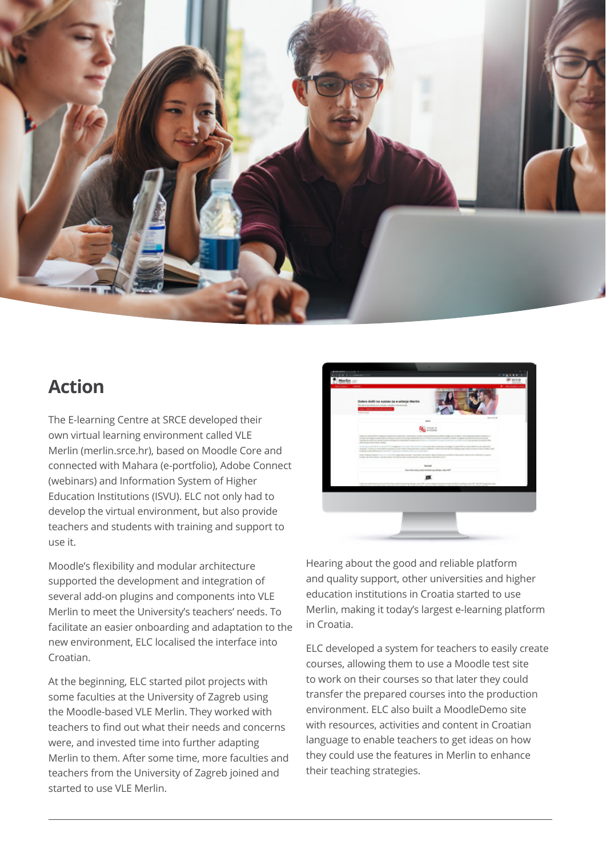

### **Action**

The E-learning Centre at SRCE developed their own virtual learning environment called VLE Merlin (merlin.srce.hr), based on Moodle Core and connected with Mahara (e-portfolio), Adobe Connect (webinars) and Information System of Higher Education Institutions (ISVU). ELC not only had to develop the virtual environment, but also provide teachers and students with training and support to use it.

Moodle's flexibility and modular architecture supported the development and integration of several add-on plugins and components into VLE Merlin to meet the University's teachers' needs. To facilitate an easier onboarding and adaptation to the new environment, ELC localised the interface into Croatian.

At the beginning, ELC started pilot projects with some faculties at the University of Zagreb using the Moodle-based VLE Merlin. They worked with teachers to find out what their needs and concerns were, and invested time into further adapting Merlin to them. After some time, more faculties and teachers from the University of Zagreb joined and started to use VLE Merlin.



Hearing about the good and reliable platform and quality support, other universities and higher education institutions in Croatia started to use Merlin, making it today's largest e-learning platform in Croatia.

ELC developed a system for teachers to easily create courses, allowing them to use a Moodle test site to work on their courses so that later they could transfer the prepared courses into the production environment. ELC also built a MoodleDemo site with resources, activities and content in Croatian language to enable teachers to get ideas on how they could use the features in Merlin to enhance their teaching strategies.